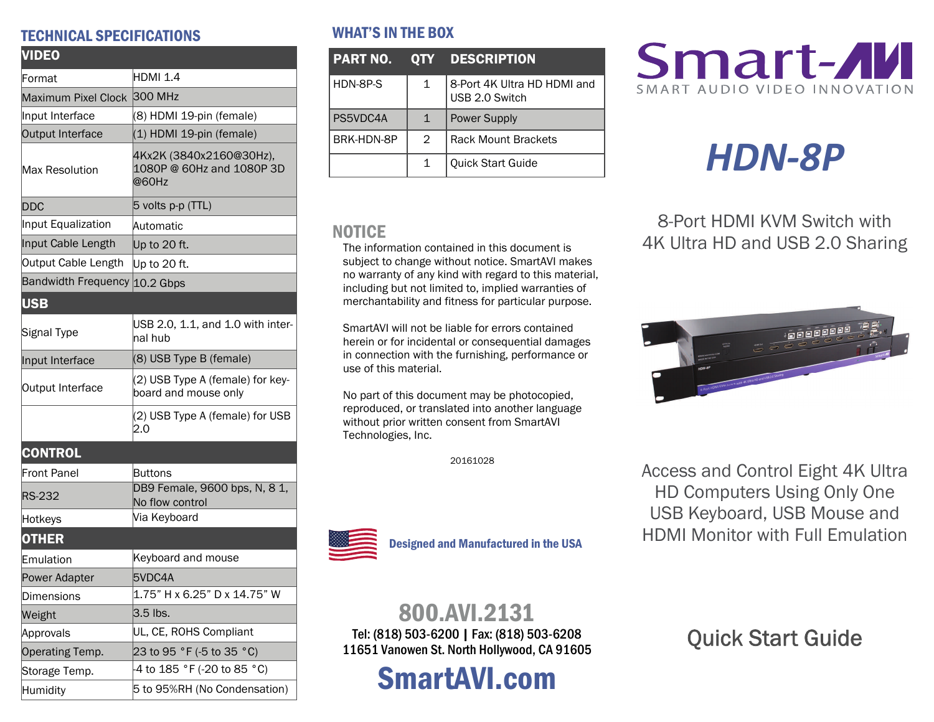#### TECHNICAL SPECIFICATIONS

| <b>VIDEO</b>                  |                                                               |  |  |
|-------------------------------|---------------------------------------------------------------|--|--|
| Format                        | <b>HDMI 1.4</b>                                               |  |  |
| Maximum Pixel Clock           | 300 MHz                                                       |  |  |
| Input Interface               | (8) HDMI 19-pin (female)                                      |  |  |
| Output Interface              | (1) HDMI 19-pin (female)                                      |  |  |
| Max Resolution                | 4Kx2K (3840x2160@30Hz),<br>1080P @ 60Hz and 1080P 3D<br>@60Hz |  |  |
| <b>DDC</b>                    | 5 volts p-p (TTL)                                             |  |  |
| Input Equalization            | Automatic                                                     |  |  |
| Input Cable Length            | Up to 20 ft.                                                  |  |  |
| Output Cable Length           | Up to 20 ft.                                                  |  |  |
| Bandwidth Frequency 10.2 Gbps |                                                               |  |  |
| <b>USB</b>                    |                                                               |  |  |
| Signal Type                   | USB 2.0, 1.1, and 1.0 with inter-<br>lnal hub                 |  |  |
| Input Interface               | (8) USB Type B (female)                                       |  |  |
| Output Interface              | (2) USB Type A (female) for key-<br>board and mouse only      |  |  |
|                               | (2) USB Type A (female) for USB<br>2.0                        |  |  |
| <b>CONTROL</b>                |                                                               |  |  |
| <b>Front Panel</b>            | Buttons                                                       |  |  |
| RS-232                        | DB9 Female, 9600 bps, N, 8 1,<br>No flow control              |  |  |
| Hotkeys                       | Via Keyboard                                                  |  |  |
| <b>OTHER</b>                  |                                                               |  |  |
| Emulation                     | Keyboard and mouse                                            |  |  |
| Power Adapter                 | 5VDC4A                                                        |  |  |
| Dimensions                    | 1.75" H x 6.25" D x 14.75" W                                  |  |  |
| Weight                        | 3.5 lbs.                                                      |  |  |
| Approvals                     | UL, CE, ROHS Compliant                                        |  |  |
| Operating Temp.               | 23 to 95 °F (-5 to 35 °C)                                     |  |  |
| Storage Temp.                 | 4 to 185 °F (-20 to 85 °C)                                    |  |  |
| Humidity                      | 5 to 95%RH (No Condensation)                                  |  |  |

#### WHAT'S IN THE BOX

| <b>PART NO.</b> |                | <b>QTY DESCRIPTION</b>                        |  |
|-----------------|----------------|-----------------------------------------------|--|
| HDN-8P-S        | 1              | 8-Port 4K Ultra HD HDMI and<br>USB 2.0 Switch |  |
| PS5VDC4A        | $\mathbf{1}$   | <b>Power Supply</b>                           |  |
| BRK-HDN-8P      | $\mathfrak{D}$ | <b>Rack Mount Brackets</b>                    |  |
|                 | 1              | <b>Quick Start Guide</b>                      |  |

#### NOTICE

The information contained in this document is subject to change without notice. SmartAVI makes no warranty of any kind with regard to this material, including but not limited to, implied warranties of merchantability and fitness for particular purpose.

SmartAVI will not be liable for errors contained herein or for incidental or consequential damages in connection with the furnishing, performance or use of this material.

No part of this document may be photocopied, reproduced, or translated into another language without prior written consent from SmartAVI Technologies, Inc.

20161028



# *HDN‐8P*

8-Port HDMI KVM Switch with 4K Ultra HD and USB 2.0 Sharing



Access and Control Eight 4K Ultra HD Computers Using Only One USB Keyboard, USB Mouse and HDMI Monitor with Full Emulation



Designed and Manufactured in the USA

### 800.AVI.2131

Tel: (818) 503-6200 | Fax: (818) 503-6208 11651 Vanowen St. North Hollywood, CA 91605

## SmartAVI.com

Quick Start Guide